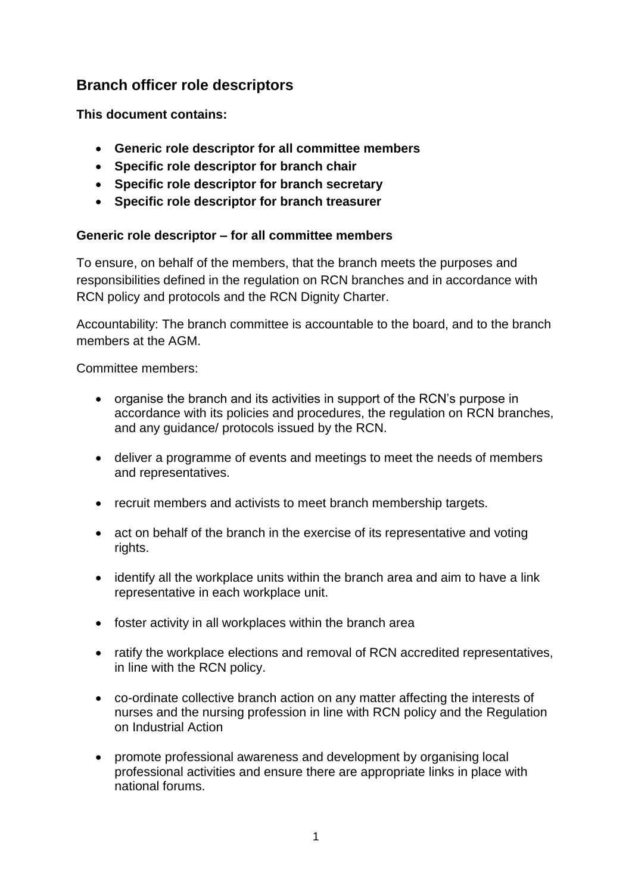# **Branch officer role descriptors**

**This document contains:**

- **Generic role descriptor for all committee members**
- **Specific role descriptor for branch chair**
- **Specific role descriptor for branch secretary**
- **Specific role descriptor for branch treasurer**

#### **Generic role descriptor – for all committee members**

To ensure, on behalf of the members, that the branch meets the purposes and responsibilities defined in the regulation on RCN branches and in accordance with RCN policy and protocols and the RCN Dignity Charter.

Accountability: The branch committee is accountable to the board, and to the branch members at the AGM.

Committee members:

- organise the branch and its activities in support of the RCN's purpose in accordance with its policies and procedures, the regulation on RCN branches, and any guidance/ protocols issued by the RCN.
- deliver a programme of events and meetings to meet the needs of members and representatives.
- recruit members and activists to meet branch membership targets.
- act on behalf of the branch in the exercise of its representative and voting rights.
- identify all the workplace units within the branch area and aim to have a link representative in each workplace unit.
- foster activity in all workplaces within the branch area
- ratify the workplace elections and removal of RCN accredited representatives, in line with the RCN policy.
- co-ordinate collective branch action on any matter affecting the interests of nurses and the nursing profession in line with RCN policy and the Regulation on Industrial Action
- promote professional awareness and development by organising local professional activities and ensure there are appropriate links in place with national forums.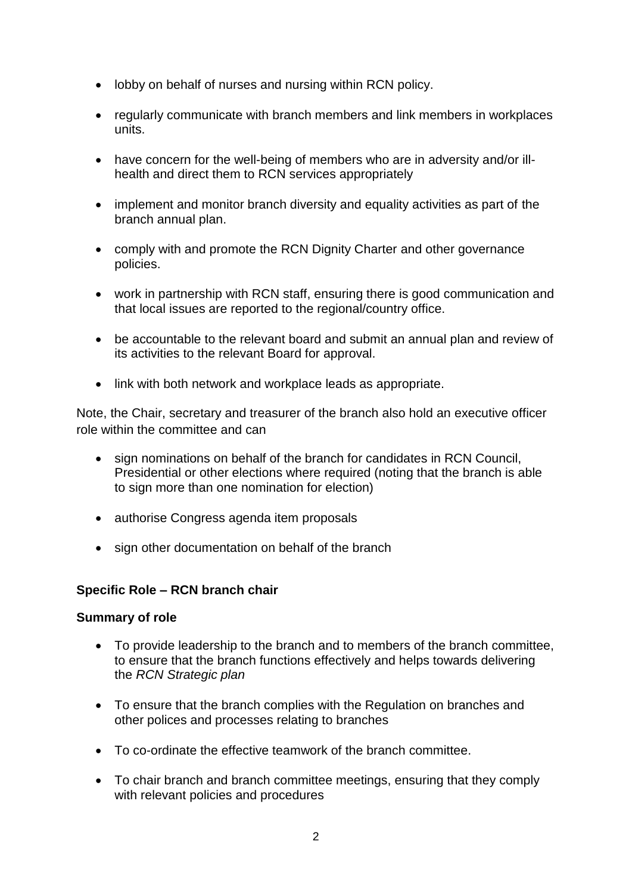- lobby on behalf of nurses and nursing within RCN policy.
- regularly communicate with branch members and link members in workplaces units.
- have concern for the well-being of members who are in adversity and/or illhealth and direct them to RCN services appropriately
- implement and monitor branch diversity and equality activities as part of the branch annual plan.
- comply with and promote the RCN Dignity Charter and other governance policies.
- work in partnership with RCN staff, ensuring there is good communication and that local issues are reported to the regional/country office.
- be accountable to the relevant board and submit an annual plan and review of its activities to the relevant Board for approval.
- link with both network and workplace leads as appropriate.

Note, the Chair, secretary and treasurer of the branch also hold an executive officer role within the committee and can

- sign nominations on behalf of the branch for candidates in RCN Council, Presidential or other elections where required (noting that the branch is able to sign more than one nomination for election)
- authorise Congress agenda item proposals
- sign other documentation on behalf of the branch

#### **Specific Role – RCN branch chair**

#### **Summary of role**

- To provide leadership to the branch and to members of the branch committee, to ensure that the branch functions effectively and helps towards delivering the *RCN Strategic plan*
- To ensure that the branch complies with the Regulation on branches and other polices and processes relating to branches
- To co-ordinate the effective teamwork of the branch committee.
- To chair branch and branch committee meetings, ensuring that they comply with relevant policies and procedures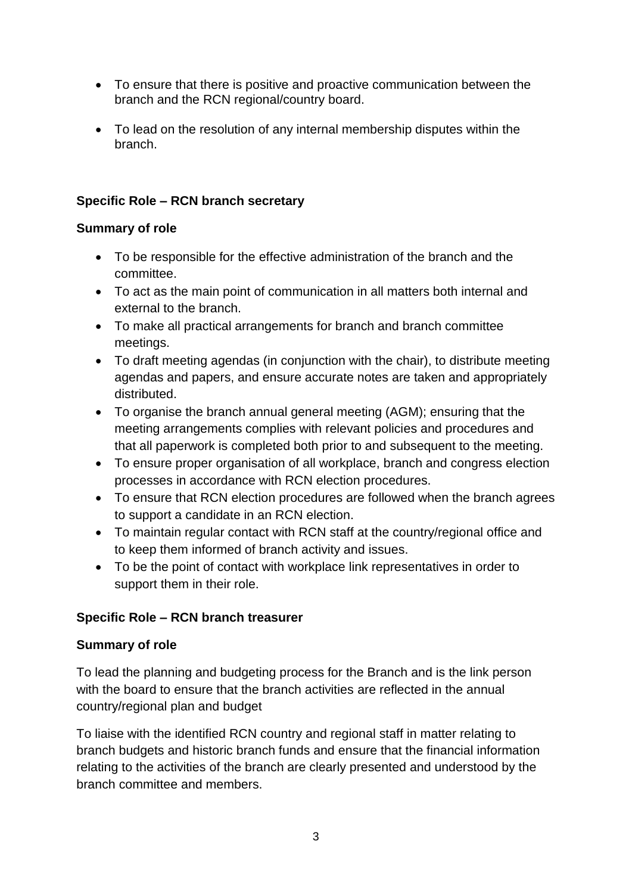- To ensure that there is positive and proactive communication between the branch and the RCN regional/country board.
- To lead on the resolution of any internal membership disputes within the branch.

### **Specific Role – RCN branch secretary**

## **Summary of role**

- To be responsible for the effective administration of the branch and the committee.
- To act as the main point of communication in all matters both internal and external to the branch.
- To make all practical arrangements for branch and branch committee meetings.
- To draft meeting agendas (in conjunction with the chair), to distribute meeting agendas and papers, and ensure accurate notes are taken and appropriately distributed.
- To organise the branch annual general meeting (AGM); ensuring that the meeting arrangements complies with relevant policies and procedures and that all paperwork is completed both prior to and subsequent to the meeting.
- To ensure proper organisation of all workplace, branch and congress election processes in accordance with RCN election procedures.
- To ensure that RCN election procedures are followed when the branch agrees to support a candidate in an RCN election.
- To maintain regular contact with RCN staff at the country/regional office and to keep them informed of branch activity and issues.
- To be the point of contact with workplace link representatives in order to support them in their role.

## **Specific Role – RCN branch treasurer**

#### **Summary of role**

To lead the planning and budgeting process for the Branch and is the link person with the board to ensure that the branch activities are reflected in the annual country/regional plan and budget

To liaise with the identified RCN country and regional staff in matter relating to branch budgets and historic branch funds and ensure that the financial information relating to the activities of the branch are clearly presented and understood by the branch committee and members.